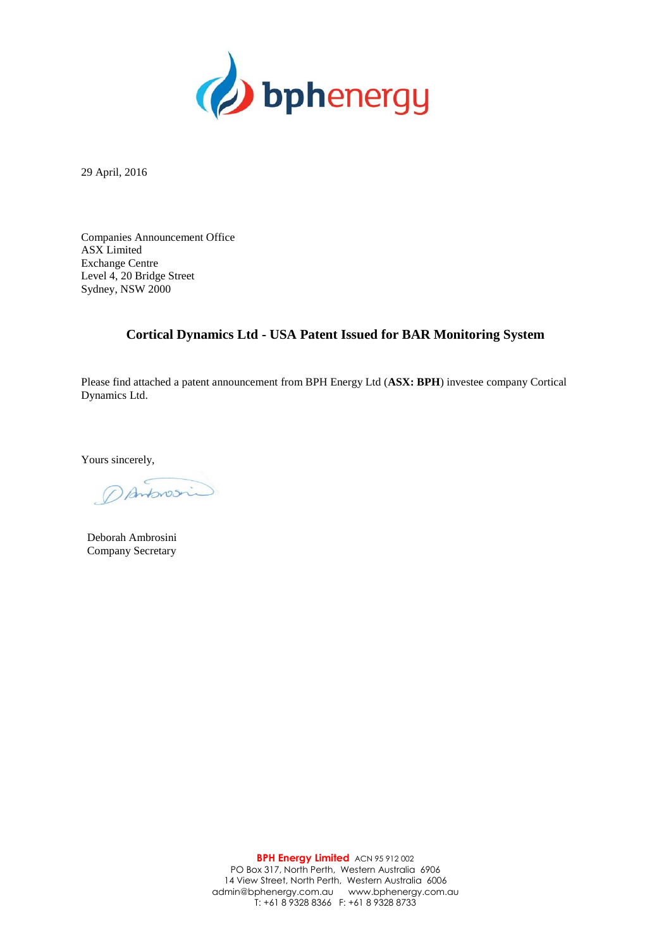

29 April, 2016

Companies Announcement Office ASX Limited Exchange Centre Level 4, 20 Bridge Street Sydney, NSW 2000

## **Cortical Dynamics Ltd - USA Patent Issued for BAR Monitoring System**

Please find attached a patent announcement from BPH Energy Ltd (**ASX: BPH**) investee company Cortical Dynamics Ltd.

Yours sincerely,

Danforosin

Deborah Ambrosini Company Secretary

**BPH Energy Limited** ACN 95 912 002 PO Box 317, North Perth, Western Australia 6906 14 View Street, North Perth, Western Australia 6006 admin@bphenergy.com.au www.bphenergy.com.au T: +61 8 9328 8366 F: +61 8 9328 8733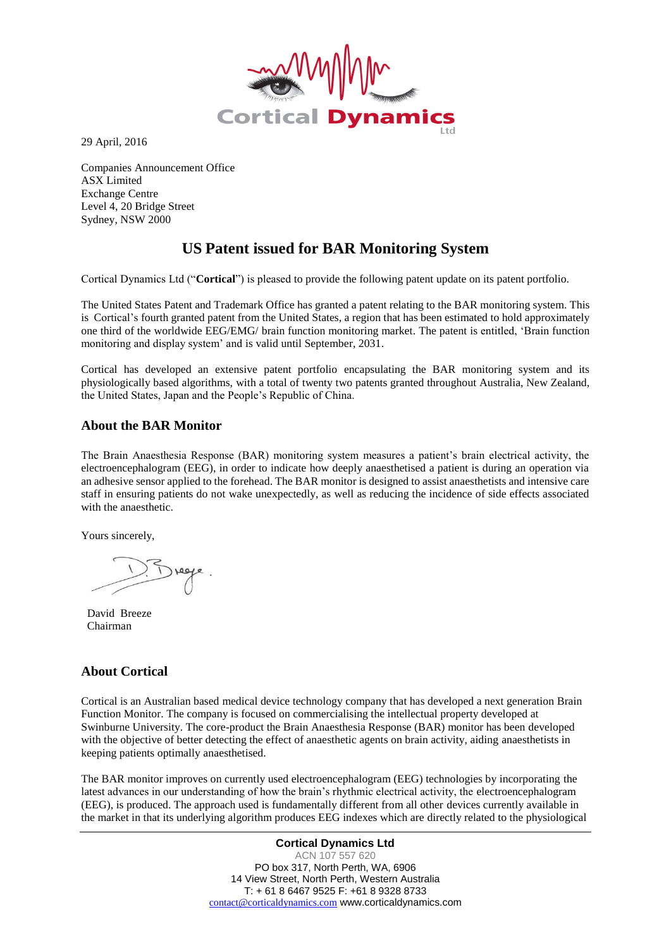

29 April, 2016

Companies Announcement Office ASX Limited Exchange Centre Level 4, 20 Bridge Street Sydney, NSW 2000

## **US Patent issued for BAR Monitoring System**

Cortical Dynamics Ltd ("**Cortical**") is pleased to provide the following patent update on its patent portfolio.

The United States Patent and Trademark Office has granted a patent relating to the BAR monitoring system. This is Cortical's fourth granted patent from the United States, a region that has been estimated to hold approximately one third of the worldwide EEG/EMG/ brain function monitoring market. The patent is entitled, 'Brain function monitoring and display system' and is valid until September, 2031.

Cortical has developed an extensive patent portfolio encapsulating the BAR monitoring system and its physiologically based algorithms, with a total of twenty two patents granted throughout Australia, New Zealand, the United States, Japan and the People's Republic of China.

## **About the BAR Monitor**

The Brain Anaesthesia Response (BAR) monitoring system measures a patient's brain electrical activity, the electroencephalogram (EEG), in order to indicate how deeply anaesthetised a patient is during an operation via an adhesive sensor applied to the forehead. The BAR monitor is designed to assist anaesthetists and intensive care staff in ensuring patients do not wake unexpectedly, as well as reducing the incidence of side effects associated with the anaesthetic.

Yours sincerely,

David Breeze Chairman

## **About Cortical**

Cortical is an Australian based medical device technology company that has developed a next generation Brain Function Monitor. The company is focused on commercialising the intellectual property developed at Swinburne University. The core-product the Brain Anaesthesia Response (BAR) monitor has been developed with the objective of better detecting the effect of anaesthetic agents on brain activity, aiding anaesthetists in keeping patients optimally anaesthetised.

The BAR monitor improves on currently used electroencephalogram (EEG) technologies by incorporating the latest advances in our understanding of how the brain's rhythmic electrical activity, the electroencephalogram (EEG), is produced. The approach used is fundamentally different from all other devices currently available in the market in that its underlying algorithm produces EEG indexes which are directly related to the physiological

> **Cortical Dynamics Ltd** ACN 107 557 620 PO box 317, North Perth, WA, 6906 14 View Street, North Perth, Western Australia T: + 61 8 6467 9525 F: +61 8 9328 8733 [contact@corticaldynamics.com](mailto:contact@corticaldynamics.com) www.corticaldynamics.com